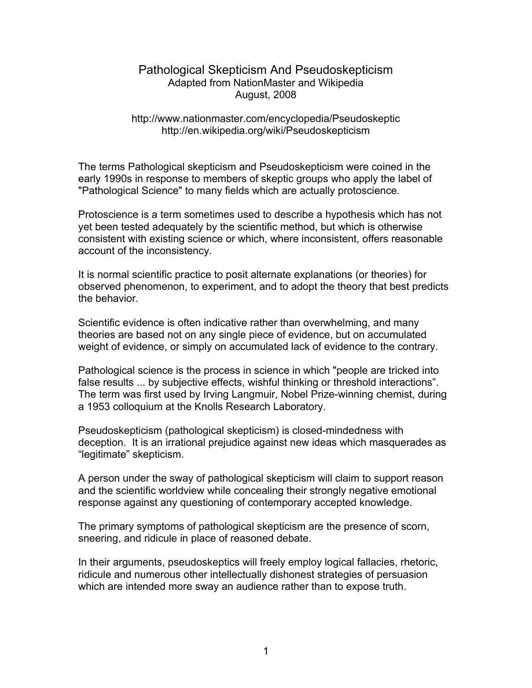## Pathological Skepticism And Pseudoskepticism Adapted from NationMaster and Wikipedia August, 2008

## http://www.nationmaster.com/encyclopedia/Pseudoskeptic http://en.wikipedia.org/wiki/Pseudoskepticism

The terms Pathological skepticism and Pseudoskepticism were coined in the early 1990s in response to members of skeptic groups who apply the label of "Pathological Science" to many fields which are actually protoscience.

Protoscience is a term sometimes used to describe a hypothesis which has not yet been tested adequately by the scientific method, but which is otherwise consistent with existing science or which, where inconsistent, offers reasonable account of the inconsistency.

It is normal scientific practice to posit alternate explanations (or theories) for observed phenomenon, to experiment, and to adopt the theory that best predicts the behavior.

Scientific evidence is often indicative rather than overwhelming, and many theories are based not on any single piece of evidence, but on accumulated weight of evidence, or simply on accumulated lack of evidence to the contrary.

Pathological science is the process in science in which "people are tricked into false results ... by subjective effects, wishful thinking or threshold interactions". The term was first used by Irving Langmuir, Nobel Prize-winning chemist, during a 1953 colloquium at the Knolls Research Laboratory.

Pseudoskepticism (pathological skepticism) is closed-mindedness with deception. It is an irrational prejudice against new ideas which masquerades as "legitimate" skepticism.

A person under the sway of pathological skepticism will claim to support reason and the scientific worldview while concealing their strongly negative emotional response against any questioning of contemporary accepted knowledge.

The primary symptoms of pathological skepticism are the presence of scorn, sneering, and ridicule in place of reasoned debate.

In their arguments, pseudoskeptics will freely employ logical fallacies, rhetoric, ridicule and numerous other intellectually dishonest strategies of persuasion which are intended more sway an audience rather than to expose truth.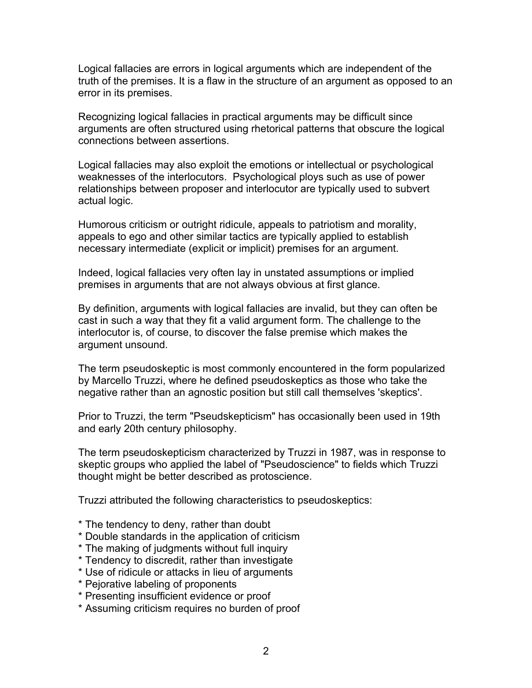Logical fallacies are errors in logical arguments which are independent of the truth of the premises. It is a flaw in the structure of an argument as opposed to an error in its premises.

Recognizing logical fallacies in practical arguments may be difficult since arguments are often structured using rhetorical patterns that obscure the logical connections between assertions.

Logical fallacies may also exploit the emotions or intellectual or psychological weaknesses of the interlocutors. Psychological ploys such as use of power relationships between proposer and interlocutor are typically used to subvert actual logic.

Humorous criticism or outright ridicule, appeals to patriotism and morality, appeals to ego and other similar tactics are typically applied to establish necessary intermediate (explicit or implicit) premises for an argument.

Indeed, logical fallacies very often lay in unstated assumptions or implied premises in arguments that are not always obvious at first glance.

By definition, arguments with logical fallacies are invalid, but they can often be cast in such a way that they fit a valid argument form. The challenge to the interlocutor is, of course, to discover the false premise which makes the argument unsound.

The term pseudoskeptic is most commonly encountered in the form popularized by Marcello Truzzi, where he defined pseudoskeptics as those who take the negative rather than an agnostic position but still call themselves 'skeptics'.

Prior to Truzzi, the term "Pseudskepticism" has occasionally been used in 19th and early 20th century philosophy.

The term pseudoskepticism characterized by Truzzi in 1987, was in response to skeptic groups who applied the label of "Pseudoscience" to fields which Truzzi thought might be better described as protoscience.

Truzzi attributed the following characteristics to pseudoskeptics:

- \* The tendency to deny, rather than doubt
- \* Double standards in the application of criticism
- \* The making of judgments without full inquiry
- \* Tendency to discredit, rather than investigate
- \* Use of ridicule or attacks in lieu of arguments
- \* Pejorative labeling of proponents
- \* Presenting insufficient evidence or proof
- \* Assuming criticism requires no burden of proof